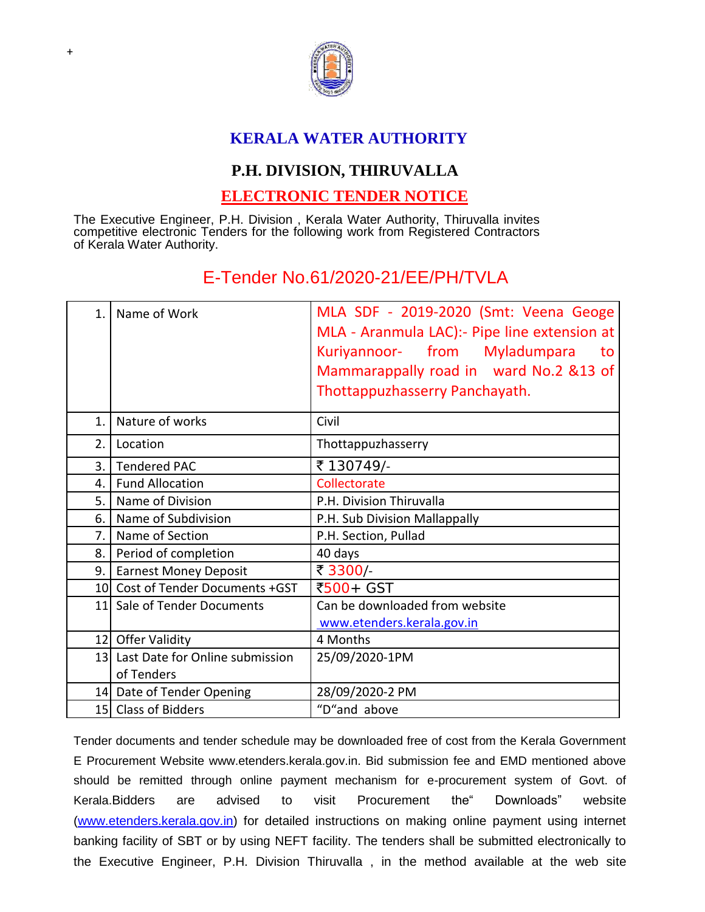

## **KERALA WATER AUTHORITY**

## **P.H. DIVISION, THIRUVALLA**

## **ELECTRONIC TENDER NOTICE**

The Executive Engineer, P.H. Division , Kerala Water Authority, Thiruvalla invites competitive electronic Tenders for the following work from Registered Contractors of Kerala Water Authority.

## E-Tender No.61/2020-21/EE/PH/TVLA

| 1.             | Name of Work                                     | MLA SDF - 2019-2020 (Smt: Veena Geoge<br>MLA - Aranmula LAC): Pipe line extension at<br>Kuriyannoor- from Myladumpara<br>to<br>Mammarappally road in ward No.2 &13 of<br>Thottappuzhasserry Panchayath. |
|----------------|--------------------------------------------------|---------------------------------------------------------------------------------------------------------------------------------------------------------------------------------------------------------|
| $\mathbf{1}$ . | Nature of works                                  | Civil                                                                                                                                                                                                   |
| 2.             | Location                                         | Thottappuzhasserry                                                                                                                                                                                      |
| 3.1            | <b>Tendered PAC</b>                              | ₹130749/-                                                                                                                                                                                               |
| 4.             | <b>Fund Allocation</b>                           | Collectorate                                                                                                                                                                                            |
| 5.             | Name of Division                                 | P.H. Division Thiruvalla                                                                                                                                                                                |
| 6.             | Name of Subdivision                              | P.H. Sub Division Mallappally                                                                                                                                                                           |
| 7. l           | Name of Section                                  | P.H. Section, Pullad                                                                                                                                                                                    |
| 8.             | Period of completion                             | 40 days                                                                                                                                                                                                 |
| 9.1            | <b>Earnest Money Deposit</b>                     | ₹ 3300/                                                                                                                                                                                                 |
|                | 10 Cost of Tender Documents +GST                 | ₹500+ GST                                                                                                                                                                                               |
|                | 11 Sale of Tender Documents                      | Can be downloaded from website<br>www.etenders.kerala.gov.in                                                                                                                                            |
|                | 12 Offer Validity                                | 4 Months                                                                                                                                                                                                |
|                | 13 Last Date for Online submission<br>of Tenders | 25/09/2020-1PM                                                                                                                                                                                          |
|                | 14 Date of Tender Opening                        | 28/09/2020-2 PM                                                                                                                                                                                         |
|                | 15 Class of Bidders                              | "D"and above                                                                                                                                                                                            |

Tender documents and tender schedule may be downloaded free of cost from the Kerala Government E Procurement Website www.etenders.kerala.gov.in. Bid submission fee and EMD mentioned above should be remitted through online payment mechanism for e-procurement system of Govt. of Kerala.Bidders are advised to visit Procurement the" Downloads" website [\(www.etenders.kerala.gov.in\)](http://www.etenders.kerala.gov.in/) for detailed instructions on making online payment using internet banking facility of SBT or by using NEFT facility. The tenders shall be submitted electronically to the Executive Engineer, P.H. Division Thiruvalla , in the method available at the web sit[e](file:///C:/Users/murali/AppData/Local/Microsoft/Windows/Temporary%20Internet%20Files/Content.IE5/PW0I1R2D/www.etenders.kerala.gov.in)